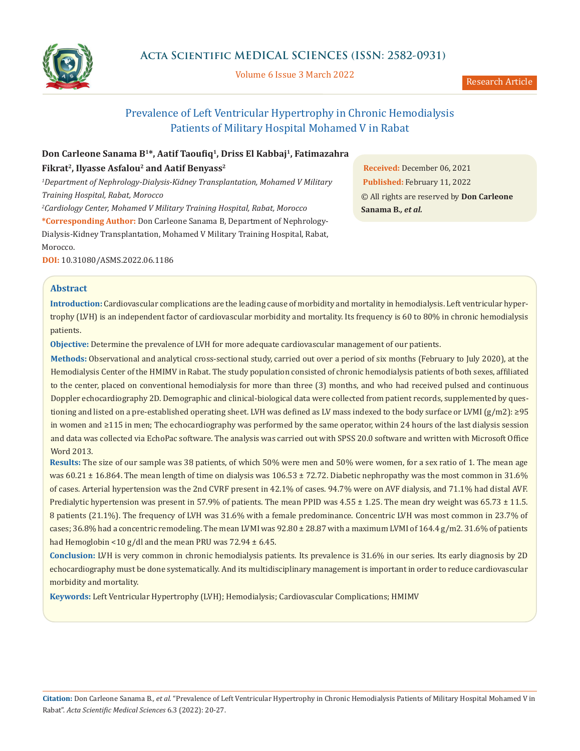

Volume 6 Issue 3 March 2022

Research Article

# Prevalence of Left Ventricular Hypertrophy in Chronic Hemodialysis Patients of Military Hospital Mohamed V in Rabat

## **Don Carleone Sanama B<sup>1</sup>\*, Aatif Taoufiq<sup>1</sup> , Driss El Kabbaj<sup>1</sup> , Fatimazahra Fikrat<sup>2</sup> , Ilyasse Asfalou<sup>2</sup> and Aatif Benyass<sup>2</sup>**

*<sup>1</sup>Department of Nephrology-Dialysis-Kidney Transplantation, Mohamed V Military Training Hospital, Rabat, Morocco*

*<sup>2</sup>Cardiology Center, Mohamed V Military Training Hospital, Rabat, Morocco* **\*Corresponding Author:** Don Carleone Sanama B, Department of Nephrology-Dialysis-Kidney Transplantation, Mohamed V Military Training Hospital, Rabat, Morocco.

**DOI:** [10.31080/ASMS.2022.06.1186](https://actascientific.com/ASMS/pdf/ASMS-06-1186.pdf)

**Received:** December 06, 2021 **Published:** February 11, 2022 © All rights are reserved by **Don Carleone Sanama B***., et al.*

## **Abstract**

**Introduction:** Cardiovascular complications are the leading cause of morbidity and mortality in hemodialysis. Left ventricular hypertrophy (LVH) is an independent factor of cardiovascular morbidity and mortality. Its frequency is 60 to 80% in chronic hemodialysis patients.

**Objective:** Determine the prevalence of LVH for more adequate cardiovascular management of our patients.

**Methods:** Observational and analytical cross-sectional study, carried out over a period of six months (February to July 2020), at the Hemodialysis Center of the HMIMV in Rabat. The study population consisted of chronic hemodialysis patients of both sexes, affiliated to the center, placed on conventional hemodialysis for more than three (3) months, and who had received pulsed and continuous Doppler echocardiography 2D. Demographic and clinical-biological data were collected from patient records, supplemented by questioning and listed on a pre-established operating sheet. LVH was defined as LV mass indexed to the body surface or LVMI (g/m2): ≥95 in women and ≥115 in men; The echocardiography was performed by the same operator, within 24 hours of the last dialysis session and data was collected via EchoPac software. The analysis was carried out with SPSS 20.0 software and written with Microsoft Office Word 2013.

**Results:** The size of our sample was 38 patients, of which 50% were men and 50% were women, for a sex ratio of 1. The mean age was 60.21  $\pm$  16.864. The mean length of time on dialysis was 106.53  $\pm$  72.72. Diabetic nephropathy was the most common in 31.6% of cases. Arterial hypertension was the 2nd CVRF present in 42.1% of cases. 94.7% were on AVF dialysis, and 71.1% had distal AVF. Predialytic hypertension was present in 57.9% of patients. The mean PPID was  $4.55 \pm 1.25$ . The mean dry weight was  $65.73 \pm 11.5$ . 8 patients (21.1%). The frequency of LVH was 31.6% with a female predominance. Concentric LVH was most common in 23.7% of cases; 36.8% had a concentric remodeling. The mean LVMI was 92.80 ± 28.87 with a maximum LVMI of 164.4 g/m2. 31.6% of patients had Hemoglobin <10 g/dl and the mean PRU was 72.94 ± 6.45.

**Conclusion:** LVH is very common in chronic hemodialysis patients. Its prevalence is 31.6% in our series. Its early diagnosis by 2D echocardiography must be done systematically. And its multidisciplinary management is important in order to reduce cardiovascular morbidity and mortality.

**Keywords:** Left Ventricular Hypertrophy (LVH); Hemodialysis; Cardiovascular Complications; HMIMV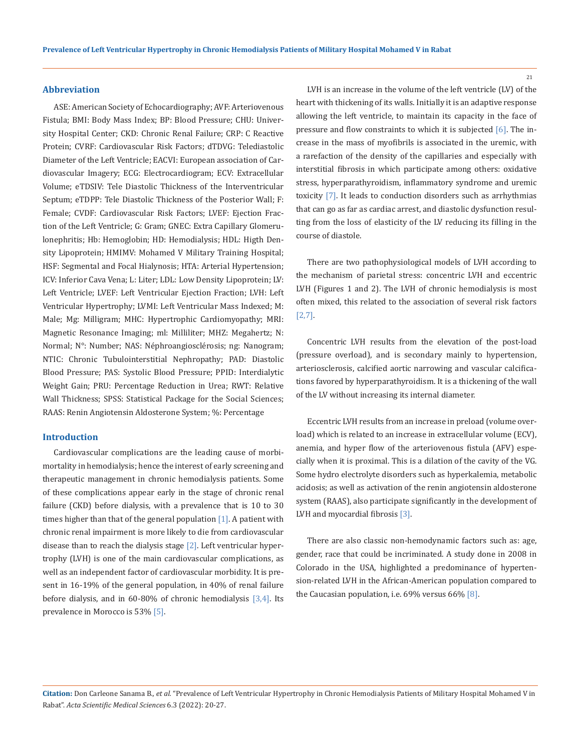#### **Abbreviation**

ASE: American Society of Echocardiography; AVF: Arteriovenous Fistula; BMI: Body Mass Index; BP: Blood Pressure; CHU: University Hospital Center; CKD: Chronic Renal Failure; CRP: C Reactive Protein; CVRF: Cardiovascular Risk Factors; dTDVG: Telediastolic Diameter of the Left Ventricle; EACVI: European association of Cardiovascular Imagery; ECG: Electrocardiogram; ECV: Extracellular Volume; eTDSIV: Tele Diastolic Thickness of the Interventricular Septum; eTDPP: Tele Diastolic Thickness of the Posterior Wall; F: Female; CVDF: Cardiovascular Risk Factors; LVEF: Ejection Fraction of the Left Ventricle; G: Gram; GNEC: Extra Capillary Glomerulonephritis; Hb: Hemoglobin; HD: Hemodialysis; HDL: Higth Density Lipoprotein; HMIMV: Mohamed V Military Training Hospital; HSF: Segmental and Focal Hialynosis; HTA: Arterial Hypertension; ICV: Inferior Cava Vena; L: Liter; LDL: Low Density Lipoprotein; LV: Left Ventricle; LVEF: Left Ventricular Ejection Fraction; LVH: Left Ventricular Hypertrophy; LVMI: Left Ventricular Mass Indexed; M: Male; Mg: Milligram; MHC: Hypertrophic Cardiomyopathy; MRI: Magnetic Resonance Imaging; ml: Milliliter; MHZ: Megahertz; N: Normal; N°: Number; NAS: Néphroangiosclérosis; ng: Nanogram; NTIC: Chronic Tubulointerstitial Nephropathy; PAD: Diastolic Blood Pressure; PAS: Systolic Blood Pressure; PPID: Interdialytic Weight Gain; PRU: Percentage Reduction in Urea; RWT: Relative Wall Thickness; SPSS: Statistical Package for the Social Sciences; RAAS: Renin Angiotensin Aldosterone System; %: Percentage

#### **Introduction**

Cardiovascular complications are the leading cause of morbimortality in hemodialysis; hence the interest of early screening and therapeutic management in chronic hemodialysis patients. Some of these complications appear early in the stage of chronic renal failure (CKD) before dialysis, with a prevalence that is 10 to 30 times higher than that of the general population [1]. A patient with chronic renal impairment is more likely to die from cardiovascular disease than to reach the dialysis stage [2]. Left ventricular hypertrophy (LVH) is one of the main cardiovascular complications, as well as an independent factor of cardiovascular morbidity. It is present in 16-19% of the general population, in 40% of renal failure before dialysis, and in 60-80% of chronic hemodialysis [3,4]. Its prevalence in Morocco is 53% [5].

LVH is an increase in the volume of the left ventricle (LV) of the heart with thickening of its walls. Initially it is an adaptive response allowing the left ventricle, to maintain its capacity in the face of pressure and flow constraints to which it is subjected [6]. The increase in the mass of myofibrils is associated in the uremic, with a rarefaction of the density of the capillaries and especially with interstitial fibrosis in which participate among others: oxidative stress, hyperparathyroidism, inflammatory syndrome and uremic toxicity [7]. It leads to conduction disorders such as arrhythmias that can go as far as cardiac arrest, and diastolic dysfunction resulting from the loss of elasticity of the LV reducing its filling in the course of diastole.

There are two pathophysiological models of LVH according to the mechanism of parietal stress: concentric LVH and eccentric LVH (Figures 1 and 2). The LVH of chronic hemodialysis is most often mixed, this related to the association of several risk factors [2,7].

Concentric LVH results from the elevation of the post-load (pressure overload), and is secondary mainly to hypertension, arteriosclerosis, calcified aortic narrowing and vascular calcifications favored by hyperparathyroidism. It is a thickening of the wall of the LV without increasing its internal diameter.

Eccentric LVH results from an increase in preload (volume overload) which is related to an increase in extracellular volume (ECV), anemia, and hyper flow of the arteriovenous fistula (AFV) especially when it is proximal. This is a dilation of the cavity of the VG. Some hydro electrolyte disorders such as hyperkalemia, metabolic acidosis; as well as activation of the renin angiotensin aldosterone system (RAAS), also participate significantly in the development of LVH and myocardial fibrosis [3].

There are also classic non-hemodynamic factors such as: age, gender, race that could be incriminated. A study done in 2008 in Colorado in the USA, highlighted a predominance of hypertension-related LVH in the African-American population compared to the Caucasian population, i.e. 69% versus 66% [8].

**Citation:** Don Carleone Sanama B*., et al.* "Prevalence of Left Ventricular Hypertrophy in Chronic Hemodialysis Patients of Military Hospital Mohamed V in Rabat". *Acta Scientific Medical Sciences* 6.3 (2022): 20-27.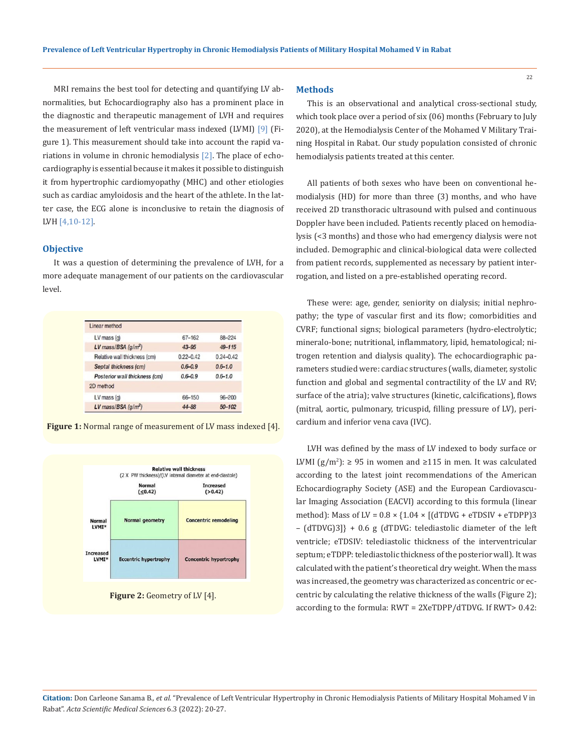MRI remains the best tool for detecting and quantifying LV abnormalities, but Echocardiography also has a prominent place in the diagnostic and therapeutic management of LVH and requires the measurement of left ventricular mass indexed (LVMI) [9] (Figure 1). This measurement should take into account the rapid variations in volume in chronic hemodialysis [2]. The place of echocardiography is essential because it makes it possible to distinguish it from hypertrophic cardiomyopathy (MHC) and other etiologies such as cardiac amyloidosis and the heart of the athlete. In the latter case, the ECG alone is inconclusive to retain the diagnosis of LVH [4,10-12].

#### **Objective**

It was a question of determining the prevalence of LVH, for a more adequate management of our patients on the cardiovascular level.

| 66-150        | $96 - 200$    |
|---------------|---------------|
|               |               |
| $0.6 - 0.9$   | $0.6 - 1.0$   |
| $0.6 - 0.9$   | $0.6 - 1.0$   |
| $0.22 - 0.42$ | $0.24 - 0.42$ |
| $43 - 95$     | $49 - 115$    |
| 67-162        | 88-224        |
|               |               |

**Figure 1:** Normal range of measurement of LV mass indexed [4].



Figure 2: Geometry of LV [4].

#### **Methods**

This is an observational and analytical cross-sectional study, which took place over a period of six (06) months (February to July 2020), at the Hemodialysis Center of the Mohamed V Military Training Hospital in Rabat. Our study population consisted of chronic hemodialysis patients treated at this center.

All patients of both sexes who have been on conventional hemodialysis (HD) for more than three (3) months, and who have received 2D transthoracic ultrasound with pulsed and continuous Doppler have been included. Patients recently placed on hemodialysis (<3 months) and those who had emergency dialysis were not included. Demographic and clinical-biological data were collected from patient records, supplemented as necessary by patient interrogation, and listed on a pre-established operating record.

These were: age, gender, seniority on dialysis; initial nephropathy; the type of vascular first and its flow; comorbidities and CVRF; functional signs; biological parameters (hydro-electrolytic; mineralo-bone; nutritional, inflammatory, lipid, hematological; nitrogen retention and dialysis quality). The echocardiographic parameters studied were: cardiac structures (walls, diameter, systolic function and global and segmental contractility of the LV and RV; surface of the atria); valve structures (kinetic, calcifications), flows (mitral, aortic, pulmonary, tricuspid, filling pressure of LV), pericardium and inferior vena cava (IVC).

LVH was defined by the mass of LV indexed to body surface or LVMI (g/m<sup>2</sup>): ≥ 95 in women and ≥115 in men. It was calculated according to the latest joint recommendations of the American Echocardiography Society (ASE) and the European Cardiovascular Imaging Association (EACVI) according to this formula (linear method): Mass of LV =  $0.8 \times \{1.04 \times [(dTDVG + eTDSIV + eTDPP]3$ – (dTDVG)3]} + 0.6 g (dTDVG: telediastolic diameter of the left ventricle; eTDSIV: telediastolic thickness of the interventricular septum; eTDPP: telediastolic thickness of the posterior wall). It was calculated with the patient's theoretical dry weight. When the mass was increased, the geometry was characterized as concentric or eccentric by calculating the relative thickness of the walls (Figure 2); according to the formula: RWT = 2XeTDPP/dTDVG. If RWT> 0.42:

**Citation:** Don Carleone Sanama B*., et al.* "Prevalence of Left Ventricular Hypertrophy in Chronic Hemodialysis Patients of Military Hospital Mohamed V in Rabat". *Acta Scientific Medical Sciences* 6.3 (2022): 20-27.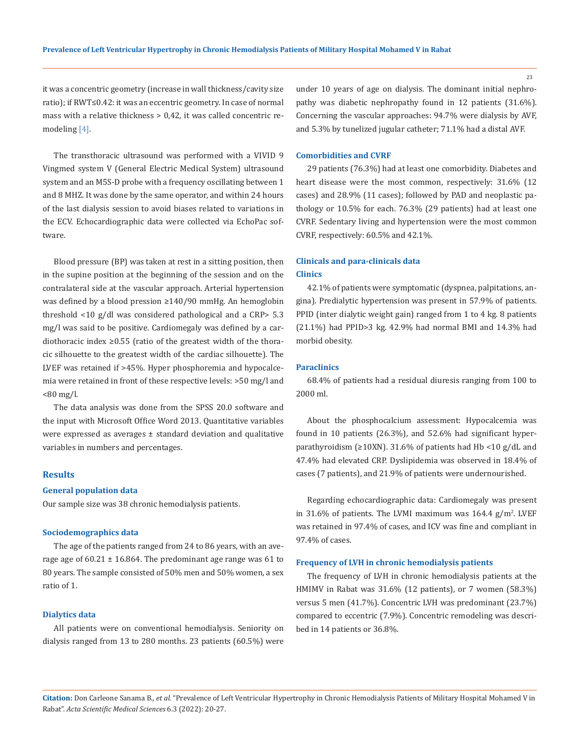it was a concentric geometry (increase in wall thickness/cavity size ratio); if RWT≤0.42: it was an eccentric geometry. In case of normal mass with a relative thickness > 0,42, it was called concentric remodeling [4].

The transthoracic ultrasound was performed with a VIVID 9 Vingmed system V (General Electric Medical System) ultrasound system and an M5S-D probe with a frequency oscillating between 1 and 8 MHZ. It was done by the same operator, and within 24 hours of the last dialysis session to avoid biases related to variations in the ECV. Echocardiographic data were collected via EchoPac software.

Blood pressure (BP) was taken at rest in a sitting position, then in the supine position at the beginning of the session and on the contralateral side at the vascular approach. Arterial hypertension was defined by a blood pression ≥140/90 mmHg. An hemoglobin threshold <10 g/dl was considered pathological and a CRP> 5.3 mg/l was said to be positive. Cardiomegaly was defined by a cardiothoracic index ≥0.55 (ratio of the greatest width of the thoracic silhouette to the greatest width of the cardiac silhouette). The LVEF was retained if >45%. Hyper phosphoremia and hypocalcemia were retained in front of these respective levels: >50 mg/l and  $< 80$  mg/l.

The data analysis was done from the SPSS 20.0 software and the input with Microsoft Office Word 2013. Quantitative variables were expressed as averages ± standard deviation and qualitative variables in numbers and percentages.

## **Results**

## **General population data**

Our sample size was 38 chronic hemodialysis patients.

#### **Sociodemographics data**

The age of the patients ranged from 24 to 86 years, with an average age of  $60.21 \pm 16.864$ . The predominant age range was 61 to 80 years. The sample consisted of 50% men and 50% women, a sex ratio of 1.

#### **Dialytics data**

All patients were on conventional hemodialysis. Seniority on dialysis ranged from 13 to 280 months. 23 patients (60.5%) were under 10 years of age on dialysis. The dominant initial nephropathy was diabetic nephropathy found in 12 patients (31.6%). Concerning the vascular approaches: 94.7% were dialysis by AVF, and 5.3% by tunelized jugular catheter; 71.1% had a distal AVF.

#### **Comorbidities and CVRF**

29 patients (76.3%) had at least one comorbidity. Diabetes and heart disease were the most common, respectively: 31.6% (12 cases) and 28.9% (11 cases); followed by PAD and neoplastic pathology or 10.5% for each. 76.3% (29 patients) had at least one CVRF. Sedentary living and hypertension were the most common CVRF, respectively: 60.5% and 42.1%.

## **Clinicals and para-clinicals data Clinics**

42.1% of patients were symptomatic (dyspnea, palpitations, angina). Predialytic hypertension was present in 57.9% of patients. PPID (inter dialytic weight gain) ranged from 1 to 4 kg. 8 patients (21.1%) had PPID>3 kg. 42.9% had normal BMI and 14.3% had morbid obesity.

#### **Paraclinics**

68.4% of patients had a residual diuresis ranging from 100 to 2000 ml.

About the phosphocalcium assessment: Hypocalcemia was found in 10 patients (26.3%), and 52.6% had significant hyperparathyroidism (≥10XN). 31.6% of patients had Hb <10 g/dL and 47.4% had elevated CRP. Dyslipidemia was observed in 18.4% of cases (7 patients), and 21.9% of patients were undernourished.

Regarding echocardiographic data: Cardiomegaly was present in 31.6% of patients. The LVMI maximum was  $164.4 \text{ g/m}^2$ . LVEF was retained in 97.4% of cases, and ICV was fine and compliant in 97.4% of cases.

#### **Frequency of LVH in chronic hemodialysis patients**

The frequency of LVH in chronic hemodialysis patients at the HMIMV in Rabat was 31.6% (12 patients), or 7 women (58.3%) versus 5 men (41.7%). Concentric LVH was predominant (23.7%) compared to eccentric (7.9%). Concentric remodeling was described in 14 patients or 36.8%.

**Citation:** Don Carleone Sanama B*., et al.* "Prevalence of Left Ventricular Hypertrophy in Chronic Hemodialysis Patients of Military Hospital Mohamed V in Rabat". *Acta Scientific Medical Sciences* 6.3 (2022): 20-27.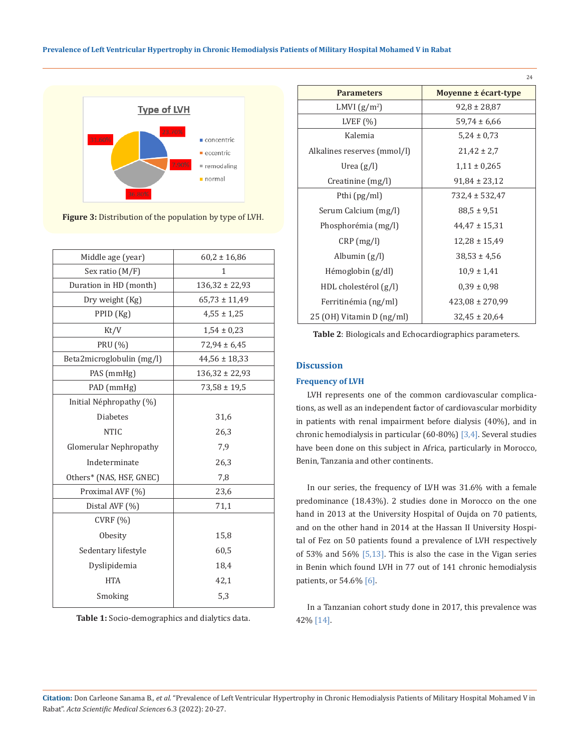#### **Prevalence of Left Ventricular Hypertrophy in Chronic Hemodialysis Patients of Military Hospital Mohamed V in Rabat**



**Figure 3:** Distribution of the population by type of LVH.

| Middle age (year)             | $60,2 \pm 16,86$   |
|-------------------------------|--------------------|
| Sex ratio $(M/F)$             | 1                  |
| Duration in HD (month)        | $136,32 \pm 22,93$ |
| Dry weight (Kg)               | $65,73 \pm 11,49$  |
| PPID(Kg)                      | $4,55 \pm 1,25$    |
| Kt/V                          | $1,54 \pm 0.23$    |
| PRU (%)                       | $72,94 \pm 6,45$   |
| Beta2microglobulin (mg/l)     | $44,56 \pm 18,33$  |
| PAS (mmHg)                    | $136,32 \pm 22,93$ |
| PAD (mmHg)                    | $73,58 \pm 19,5$   |
| Initial Néphropathy (%)       |                    |
| <b>Diabetes</b>               | 31,6               |
| <b>NTIC</b>                   | 26,3               |
| <b>Glomerular Nephropathy</b> | 7,9                |
| Indeterminate                 | 26,3               |
| Others* (NAS, HSF, GNEC)      | 7,8                |
| Proximal AVF (%)              | 23,6               |
| Distal AVF (%)                | 71,1               |
| CVRF(%)                       |                    |
| Obesity                       | 15,8               |
| Sedentary lifestyle           | 60,5               |
| Dyslipidemia                  | 18,4               |
| <b>HTA</b>                    | 42,1               |
| Smoking                       | 5.3                |
|                               |                    |

**Table 1:** Socio-demographics and dialytics data.

| <b>Parameters</b>              | Moyenne ± écart-type |
|--------------------------------|----------------------|
| LMVI $(g/m^2)$                 | $92,8 \pm 28,87$     |
| LVEF $(\% )$                   | $59,74 \pm 6,66$     |
| Kalemia                        | $5,24 \pm 0,73$      |
| Alkalines reserves (mmol/l)    | $21,42 \pm 2,7$      |
| Urea $(g/l)$                   | $1,11 \pm 0,265$     |
| Creatinine $(mg/l)$            | $91,84 \pm 23,12$    |
| Pthi (pg/ml)                   | $732,4 \pm 532,47$   |
| Serum Calcium (mg/l)           | $88.5 \pm 9.51$      |
| Phosphorémia (mg/l)            | $44,47 \pm 15,31$    |
| $CRP$ (mg/l)                   | $12,28 \pm 15,49$    |
| Albumin $(g/l)$                | $38,53 \pm 4,56$     |
| $H\acute{e}$ moglobin $(g/dl)$ | $10.9 \pm 1.41$      |
| HDL cholestérol $(g/l)$        | $0.39 \pm 0.98$      |
| Ferritinémia (ng/ml)           | $423,08 \pm 270,99$  |
| 25 (OH) Vitamin D (ng/ml)      | $32,45 \pm 20,64$    |

24

**Table 2**: Biologicals and Echocardiographics parameters.

## **Discussion**

### **Frequency of LVH**

LVH represents one of the common cardiovascular complications, as well as an independent factor of cardiovascular morbidity in patients with renal impairment before dialysis (40%), and in chronic hemodialysis in particular (60-80%) [3,4]. Several studies have been done on this subject in Africa, particularly in Morocco, Benin, Tanzania and other continents.

In our series, the frequency of LVH was 31.6% with a female predominance (18.43%). 2 studies done in Morocco on the one hand in 2013 at the University Hospital of Oujda on 70 patients, and on the other hand in 2014 at the Hassan II University Hospital of Fez on 50 patients found a prevalence of LVH respectively of 53% and 56% [5,13]. This is also the case in the Vigan series in Benin which found LVH in 77 out of 141 chronic hemodialysis patients, or 54.6% [6].

In a Tanzanian cohort study done in 2017, this prevalence was 42% [14].

**Citation:** Don Carleone Sanama B*., et al.* "Prevalence of Left Ventricular Hypertrophy in Chronic Hemodialysis Patients of Military Hospital Mohamed V in Rabat". *Acta Scientific Medical Sciences* 6.3 (2022): 20-27.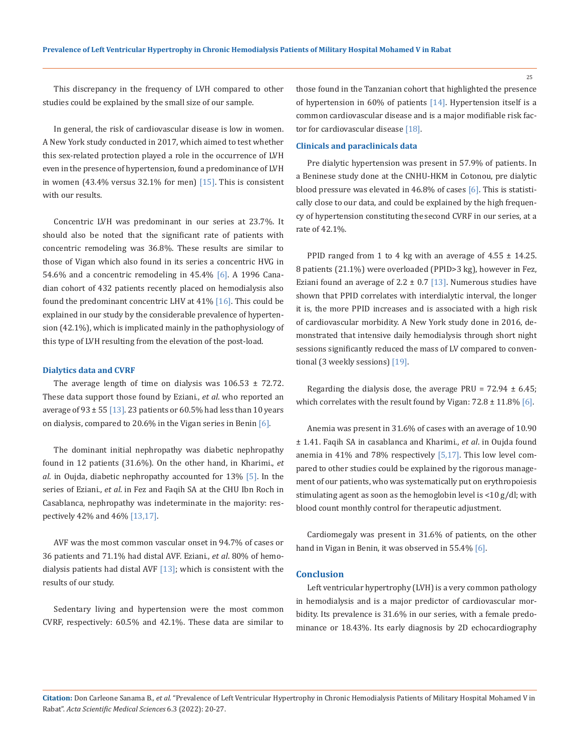25

This discrepancy in the frequency of LVH compared to other studies could be explained by the small size of our sample.

In general, the risk of cardiovascular disease is low in women. A New York study conducted in 2017, which aimed to test whether this sex-related protection played a role in the occurrence of LVH even in the presence of hypertension, found a predominance of LVH in women (43.4% versus 32.1% for men) [15]. This is consistent with our results.

Concentric LVH was predominant in our series at 23.7%. It should also be noted that the significant rate of patients with concentric remodeling was 36.8%. These results are similar to those of Vigan which also found in its series a concentric HVG in 54.6% and a concentric remodeling in 45.4% [6]. A 1996 Canadian cohort of 432 patients recently placed on hemodialysis also found the predominant concentric LHV at 41% [16]. This could be explained in our study by the considerable prevalence of hypertension (42.1%), which is implicated mainly in the pathophysiology of this type of LVH resulting from the elevation of the post-load.

#### **Dialytics data and CVRF**

The average length of time on dialysis was  $106.53 \pm 72.72$ . These data support those found by Eziani., *et al*. who reported an average of  $93 \pm 55$  [13]. 23 patients or 60.5% had less than 10 years on dialysis, compared to 20.6% in the Vigan series in Benin [6].

The dominant initial nephropathy was diabetic nephropathy found in 12 patients (31.6%). On the other hand, in Kharimi., *et al*. in Oujda, diabetic nephropathy accounted for 13% [5]. In the series of Eziani., *et al*. in Fez and Faqih SA at the CHU Ibn Roch in Casablanca, nephropathy was indeterminate in the majority: respectively 42% and 46% [13,17].

AVF was the most common vascular onset in 94.7% of cases or 36 patients and 71.1% had distal AVF. Eziani., *et al*. 80% of hemodialysis patients had distal AVF  $[13]$ ; which is consistent with the results of our study.

Sedentary living and hypertension were the most common CVRF, respectively: 60.5% and 42.1%. These data are similar to those found in the Tanzanian cohort that highlighted the presence of hypertension in 60% of patients [14]. Hypertension itself is a common cardiovascular disease and is a major modifiable risk factor for cardiovascular disease [18].

## **Clinicals and paraclinicals data**

Pre dialytic hypertension was present in 57.9% of patients. In a Beninese study done at the CNHU-HKM in Cotonou, pre dialytic blood pressure was elevated in 46.8% of cases [6]. This is statistically close to our data, and could be explained by the high frequency of hypertension constituting the second CVRF in our series, at a rate of 42.1%.

PPID ranged from 1 to 4 kg with an average of  $4.55 \pm 14.25$ . 8 patients (21.1%) were overloaded (PPID>3 kg), however in Fez, Eziani found an average of  $2.2 \pm 0.7$  [13]. Numerous studies have shown that PPID correlates with interdialytic interval, the longer it is, the more PPID increases and is associated with a high risk of cardiovascular morbidity. A New York study done in 2016, demonstrated that intensive daily hemodialysis through short night sessions significantly reduced the mass of LV compared to conventional (3 weekly sessions) [19].

Regarding the dialysis dose, the average PRU =  $72.94 \pm 6.45$ ; which correlates with the result found by Vigan:  $72.8 \pm 11.8\%$  [6].

Anemia was present in 31.6% of cases with an average of 10.90 ± 1.41. Faqih SA in casablanca and Kharimi., *et al*. in Oujda found anemia in 41% and 78% respectively [5,17]. This low level compared to other studies could be explained by the rigorous management of our patients, who was systematically put on erythropoiesis stimulating agent as soon as the hemoglobin level is <10 g/dl; with blood count monthly control for therapeutic adjustment.

Cardiomegaly was present in 31.6% of patients, on the other hand in Vigan in Benin, it was observed in 55.4% [6].

#### **Conclusion**

Left ventricular hypertrophy (LVH) is a very common pathology in hemodialysis and is a major predictor of cardiovascular morbidity. Its prevalence is 31.6% in our series, with a female predominance or 18.43%. Its early diagnosis by 2D echocardiography

**Citation:** Don Carleone Sanama B*., et al.* "Prevalence of Left Ventricular Hypertrophy in Chronic Hemodialysis Patients of Military Hospital Mohamed V in Rabat". *Acta Scientific Medical Sciences* 6.3 (2022): 20-27.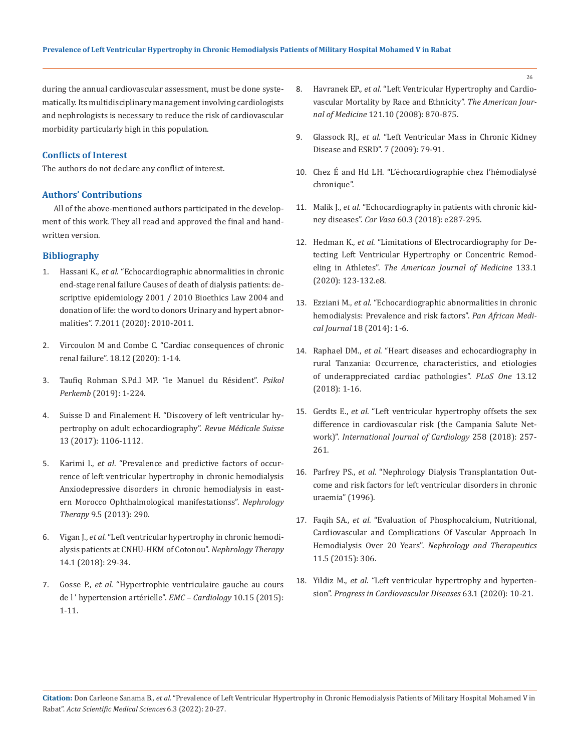during the annual cardiovascular assessment, must be done systematically. Its multidisciplinary management involving cardiologists and nephrologists is necessary to reduce the risk of cardiovascular morbidity particularly high in this population.

## **Conflicts of Interest**

The authors do not declare any conflict of interest.

## **Authors' Contributions**

All of the above-mentioned authors participated in the development of this work. They all read and approved the final and handwritten version.

## **Bibliography**

- 1. Hassani K., *et al*. "Echocardiographic abnormalities in chronic end-stage renal failure Causes of death of dialysis patients: descriptive epidemiology 2001 / 2010 Bioethics Law 2004 and donation of life: the word to donors Urinary and hypert abnormalities". 7.2011 (2020): 2010-2011.
- 2. Vircoulon M and Combe C. "Cardiac consequences of chronic renal failure". 18.12 (2020): 1-14.
- 3. Taufiq Rohman S.Pd.I MP. "le Manuel du Résident". *Psikol Perkemb* (2019): 1-224.
- 4. [Suisse D and Finalement H. "Discovery of left ventricular hy](https://pubmed.ncbi.nlm.nih.gov/28639774/)[pertrophy on adult echocardiography".](https://pubmed.ncbi.nlm.nih.gov/28639774/) *Revue Médicale Suisse* [13 \(2017\): 1106-1112.](https://pubmed.ncbi.nlm.nih.gov/28639774/)
- 5. Karimi I., *et al*[. "Prevalence and predictive factors of occur](http://dx.doi.org/10.1016/j.nephro.2013.07.219)[rence of left ventricular hypertrophy in chronic hemodialysis](http://dx.doi.org/10.1016/j.nephro.2013.07.219) [Anxiodepressive disorders in chronic hemodialysis in east](http://dx.doi.org/10.1016/j.nephro.2013.07.219)[ern Morocco Ophthalmological manifestationss".](http://dx.doi.org/10.1016/j.nephro.2013.07.219) *Nephrology Therapy* [9.5 \(2013\): 290.](http://dx.doi.org/10.1016/j.nephro.2013.07.219)
- 6. Vigan J., *et al*. "Left ventricular hypertrophy in chronic hemodialysis patients at CNHU-HKM of Cotonou". *Nephrology Therapy* 14.1 (2018): 29-34.
- 7. Gosse P., *et al*[. "Hypertrophie ventriculaire gauche au cours](http://dx.doi.org/10.1016/S1166-4568(15)66869-3) [de l ' hypertension artérielle".](http://dx.doi.org/10.1016/S1166-4568(15)66869-3) *EMC – Cardiology* 10.15 (2015): [1-11.](http://dx.doi.org/10.1016/S1166-4568(15)66869-3)
- 8. Havranek EP., *et al*[. "Left Ventricular Hypertrophy and Cardio](https://pubmed.ncbi.nlm.nih.gov/18823858/)[vascular Mortality by Race and Ethnicity".](https://pubmed.ncbi.nlm.nih.gov/18823858/) *The American Journal of Medicine* [121.10 \(2008\): 870-875.](https://pubmed.ncbi.nlm.nih.gov/18823858/)
- 9. Glassock RJ., *et al*[. "Left Ventricular Mass in Chronic Kidney](https://pubmed.ncbi.nlm.nih.gov/19996010/)  [Disease and ESRD". 7 \(2009\): 79-91.](https://pubmed.ncbi.nlm.nih.gov/19996010/)
- 10. Chez É and Hd LH. "L'échocardiographie chez l'hémodialysé chronique".
- 11. Malík J., *et al*. "Echocardiography in patients with chronic kidney diseases". *Cor Vasa* 60.3 (2018): e287-295.
- 12. Hedman K., *et al*[. "Limitations of Electrocardiography for De](https://doi.org/10.1016/j.amjmed.2019.06.028)[tecting Left Ventricular Hypertrophy or Concentric Remod](https://doi.org/10.1016/j.amjmed.2019.06.028)eling in Athletes". *[The American Journal of Medicine](https://doi.org/10.1016/j.amjmed.2019.06.028)* 133.1 [\(2020\): 123-132.e8.](https://doi.org/10.1016/j.amjmed.2019.06.028)
- 13. Ezziani M., *et al*[. "Echocardiographic abnormalities in chronic](https://pubmed.ncbi.nlm.nih.gov/25419342/) [hemodialysis: Prevalence and risk factors".](https://pubmed.ncbi.nlm.nih.gov/25419342/) *Pan African Medical Journal* [18 \(2014\): 1-6.](https://pubmed.ncbi.nlm.nih.gov/25419342/)
- 14. Raphael DM., *et al*[. "Heart diseases and echocardiography in](https://pubmed.ncbi.nlm.nih.gov/30586432/)  [rural Tanzania: Occurrence, characteristics, and etiologies](https://pubmed.ncbi.nlm.nih.gov/30586432/) [of underappreciated cardiac pathologies".](https://pubmed.ncbi.nlm.nih.gov/30586432/) *PLoS One* 13.12 [\(2018\): 1-16.](https://pubmed.ncbi.nlm.nih.gov/30586432/)
- 15. Gerdts E., *et al*[. "Left ventricular hypertrophy offsets the sex](https://doi.org/10.1016/j.ijcard.2017.12.086)  [difference in cardiovascular risk \(the Campania Salute Net](https://doi.org/10.1016/j.ijcard.2017.12.086)work)". *[International Journal of Cardiology](https://doi.org/10.1016/j.ijcard.2017.12.086)* 258 (2018): 257- [261.](https://doi.org/10.1016/j.ijcard.2017.12.086)
- 16. Parfrey PS., *et al*. "Nephrology Dialysis Transplantation Outcome and risk factors for left ventricular disorders in chronic uraemia" (1996).
- 17. Faqih SA., *et al*[. "Evaluation of Phosphocalcium, Nutritional,](http://dx.doi.org/10.1016/j.nephro.2015.07.115)  [Cardiovascular and Complications Of Vascular Approach In](http://dx.doi.org/10.1016/j.nephro.2015.07.115)  Hemodialysis Over 20 Years". *[Nephrology and Therapeutics](http://dx.doi.org/10.1016/j.nephro.2015.07.115)* [11.5 \(2015\): 306.](http://dx.doi.org/10.1016/j.nephro.2015.07.115)
- 18. Yildiz M., *et al*. "Left ventricular hypertrophy and hypertension". *Progress in Cardiovascular Diseases* 63.1 (2020): 10-21.

**Citation:** Don Carleone Sanama B*., et al.* "Prevalence of Left Ventricular Hypertrophy in Chronic Hemodialysis Patients of Military Hospital Mohamed V in Rabat". *Acta Scientific Medical Sciences* 6.3 (2022): 20-27.